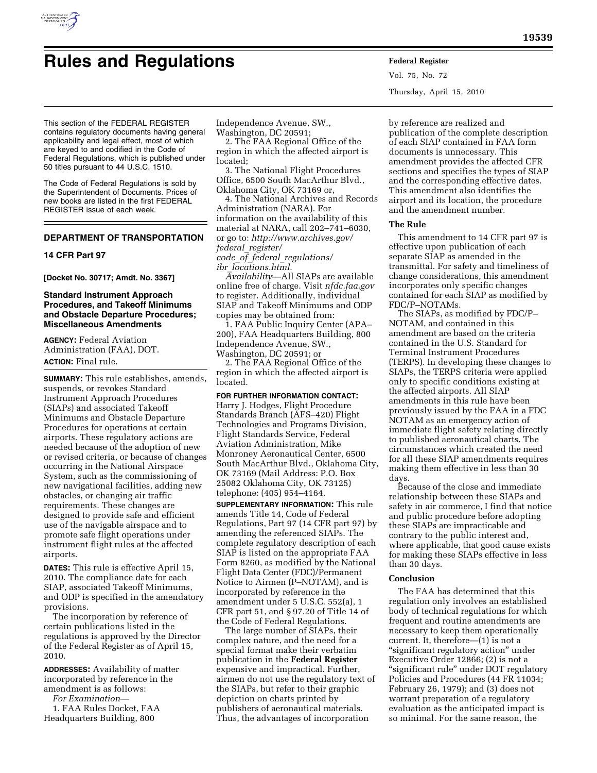

# **Rules and Regulations Federal Register**

Vol. 75, No. 72 Thursday, April 15, 2010

This section of the FEDERAL REGISTER contains regulatory documents having general applicability and legal effect, most of which are keyed to and codified in the Code of Federal Regulations, which is published under 50 titles pursuant to 44 U.S.C. 1510.

The Code of Federal Regulations is sold by the Superintendent of Documents. Prices of new books are listed in the first FEDERAL REGISTER issue of each week.

# **DEPARTMENT OF TRANSPORTATION**

## **14 CFR Part 97**

**[Docket No. 30717; Amdt. No. 3367]** 

# **Standard Instrument Approach Procedures, and Takeoff Minimums and Obstacle Departure Procedures; Miscellaneous Amendments**

**AGENCY:** Federal Aviation Administration (FAA), DOT. **ACTION:** Final rule.

**SUMMARY:** This rule establishes, amends, suspends, or revokes Standard Instrument Approach Procedures (SIAPs) and associated Takeoff Minimums and Obstacle Departure Procedures for operations at certain airports. These regulatory actions are needed because of the adoption of new or revised criteria, or because of changes occurring in the National Airspace System, such as the commissioning of new navigational facilities, adding new obstacles, or changing air traffic requirements. These changes are designed to provide safe and efficient use of the navigable airspace and to promote safe flight operations under instrument flight rules at the affected airports.

**DATES:** This rule is effective April 15, 2010. The compliance date for each SIAP, associated Takeoff Minimums, and ODP is specified in the amendatory provisions.

The incorporation by reference of certain publications listed in the regulations is approved by the Director of the Federal Register as of April 15, 2010.

**ADDRESSES:** Availability of matter incorporated by reference in the amendment is as follows:

*For Examination*—

1. FAA Rules Docket, FAA Headquarters Building, 800

Independence Avenue, SW.,

Washington, DC 20591;

2. The FAA Regional Office of the region in which the affected airport is located;

3. The National Flight Procedures Office, 6500 South MacArthur Blvd., Oklahoma City, OK 73169 or,

4. The National Archives and Records Administration (NARA). For information on the availability of this material at NARA, call 202–741–6030, or go to: *http://www.archives.gov/ federal*\_*register/ code*\_*of*\_*federal*\_*regulations/ ibr*\_*locations.html.* 

*Availability*—All SIAPs are available online free of charge. Visit *nfdc.faa.gov*  to register. Additionally, individual SIAP and Takeoff Minimums and ODP copies may be obtained from:

1. FAA Public Inquiry Center (APA– 200), FAA Headquarters Building, 800 Independence Avenue, SW., Washington, DC 20591; or

2. The FAA Regional Office of the region in which the affected airport is located.

**FOR FURTHER INFORMATION CONTACT:**  Harry J. Hodges, Flight Procedure Standards Branch (AFS–420) Flight Technologies and Programs Division, Flight Standards Service, Federal Aviation Administration, Mike Monroney Aeronautical Center, 6500 South MacArthur Blvd., Oklahoma City, OK 73169 (Mail Address: P.O. Box 25082 Oklahoma City, OK 73125) telephone: (405) 954–4164.

**SUPPLEMENTARY INFORMATION:** This rule amends Title 14, Code of Federal Regulations, Part 97 (14 CFR part 97) by amending the referenced SIAPs. The complete regulatory description of each SIAP is listed on the appropriate FAA Form 8260, as modified by the National Flight Data Center (FDC)/Permanent Notice to Airmen (P–NOTAM), and is incorporated by reference in the amendment under 5 U.S.C. 552(a), 1 CFR part 51, and § 97.20 of Title 14 of the Code of Federal Regulations.

The large number of SIAPs, their complex nature, and the need for a special format make their verbatim publication in the **Federal Register**  expensive and impractical. Further, airmen do not use the regulatory text of the SIAPs, but refer to their graphic depiction on charts printed by publishers of aeronautical materials. Thus, the advantages of incorporation

by reference are realized and publication of the complete description of each SIAP contained in FAA form documents is unnecessary. This amendment provides the affected CFR sections and specifies the types of SIAP and the corresponding effective dates. This amendment also identifies the airport and its location, the procedure and the amendment number.

## **The Rule**

This amendment to 14 CFR part 97 is effective upon publication of each separate SIAP as amended in the transmittal. For safety and timeliness of change considerations, this amendment incorporates only specific changes contained for each SIAP as modified by FDC/P–NOTAMs.

The SIAPs, as modified by FDC/P– NOTAM, and contained in this amendment are based on the criteria contained in the U.S. Standard for Terminal Instrument Procedures (TERPS). In developing these changes to SIAPs, the TERPS criteria were applied only to specific conditions existing at the affected airports. All SIAP amendments in this rule have been previously issued by the FAA in a FDC NOTAM as an emergency action of immediate flight safety relating directly to published aeronautical charts. The circumstances which created the need for all these SIAP amendments requires making them effective in less than 30 days.

Because of the close and immediate relationship between these SIAPs and safety in air commerce, I find that notice and public procedure before adopting these SIAPs are impracticable and contrary to the public interest and, where applicable, that good cause exists for making these SIAPs effective in less than 30 days.

## **Conclusion**

The FAA has determined that this regulation only involves an established body of technical regulations for which frequent and routine amendments are necessary to keep them operationally current. It, therefore—(1) is not a ''significant regulatory action'' under Executive Order 12866; (2) is not a ''significant rule'' under DOT regulatory Policies and Procedures (44 FR 11034; February 26, 1979); and (3) does not warrant preparation of a regulatory evaluation as the anticipated impact is so minimal. For the same reason, the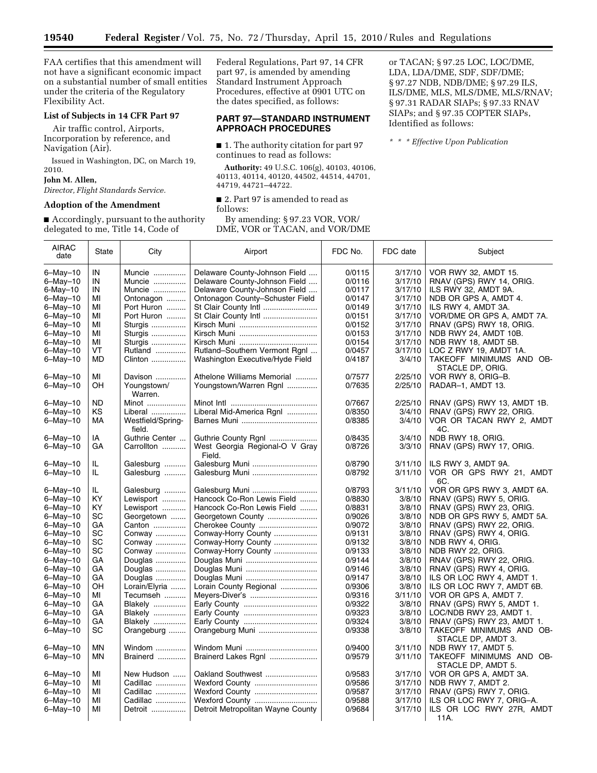FAA certifies that this amendment will not have a significant economic impact on a substantial number of small entities under the criteria of the Regulatory Flexibility Act.

## **List of Subjects in 14 CFR Part 97**

Air traffic control, Airports, Incorporation by reference, and Navigation (Air).

Issued in Washington, DC, on March 19, 2010.

#### **John M. Allen,**

*Director, Flight Standards Service.* 

#### **Adoption of the Amendment**

■ Accordingly, pursuant to the authority delegated to me, Title 14, Code of

Federal Regulations, Part 97, 14 CFR part 97, is amended by amending Standard Instrument Approach Procedures, effective at 0901 UTC on the dates specified, as follows:

## **PART 97—STANDARD INSTRUMENT APPROACH PROCEDURES**

■ 1. The authority citation for part 97 continues to read as follows:

**Authority:** 49 U.S.C. 106(g), 40103, 40106, 40113, 40114, 40120, 44502, 44514, 44701, 44719, 44721–44722.

■ 2. Part 97 is amended to read as follows:

By amending: § 97.23 VOR, VOR/ DME, VOR or TACAN, and VOR/DME or TACAN; § 97.25 LOC, LOC/DME, LDA, LDA/DME, SDF, SDF/DME; § 97.27 NDB, NDB/DME; § 97.29 ILS, ILS/DME, MLS, MLS/DME, MLS/RNAV; § 97.31 RADAR SIAPs; § 97.33 RNAV SIAPs; and § 97.35 COPTER SIAPs, Identified as follows:

*\* \* \* Effective Upon Publication* 

| delegated to life, This 14, Gode of<br>DIVILI, VOIX OI 17XU/IIV, aliu VOIX/DIVILI |              |                             |                                          |                  |          |                                                |  |  |  |
|-----------------------------------------------------------------------------------|--------------|-----------------------------|------------------------------------------|------------------|----------|------------------------------------------------|--|--|--|
| <b>AIRAC</b><br>date                                                              | <b>State</b> | City                        | Airport                                  | FDC No.          | FDC date | Subject                                        |  |  |  |
| $6 -$ May $-10$                                                                   | IN           | Muncie                      | Delaware County-Johnson Field            | 0/0115           | 3/17/10  | VOR RWY 32, AMDT 15.                           |  |  |  |
| 6-May-10                                                                          | IN           | Muncie                      | Delaware County-Johnson Field            | 0/0116           | 3/17/10  | RNAV (GPS) RWY 14, ORIG.                       |  |  |  |
| 6-May–10                                                                          | IN           | Muncie                      | Delaware County-Johnson Field            | 0/0117           | 3/17/10  | ILS RWY 32, AMDT 9A.                           |  |  |  |
| 6-May-10                                                                          | MI           | Ontonagon                   | Ontonagon County-Schuster Field          | 0/0147           | 3/17/10  | NDB OR GPS A, AMDT 4.                          |  |  |  |
| 6-May-10                                                                          | MI           | Port Huron                  | St Clair County Intl                     | 0/0149           | 3/17/10  | ILS RWY 4, AMDT 3A.                            |  |  |  |
| 6-May-10                                                                          | MI           | Port Huron                  | St Clair County Intl                     | 0/0151           | 3/17/10  | VOR/DME OR GPS A, AMDT 7A.                     |  |  |  |
|                                                                                   | MI           |                             |                                          | 0/0152           |          |                                                |  |  |  |
| 6–May–10                                                                          | МI           | Sturgis                     |                                          |                  | 3/17/10  | RNAV (GPS) RWY 18, ORIG.                       |  |  |  |
| 6–May–10                                                                          | MI           | Sturgis                     |                                          | 0/0153<br>0/0154 | 3/17/10  | NDB RWY 24, AMDT 10B.                          |  |  |  |
| 6-May-10                                                                          |              | Sturgis                     |                                          |                  | 3/17/10  | NDB RWY 18, AMDT 5B.                           |  |  |  |
| 6-May-10                                                                          | VT           | Rutland                     | Rutland-Southern Vermont Rgnl            | 0/0457           | 3/17/10  | LOC Z RWY 19, AMDT 1A.                         |  |  |  |
| 6-May-10                                                                          | MD           | Clinton                     | Washington Executive/Hyde Field          | 0/4187           | 3/4/10   | TAKEOFF MINIMUMS AND OB-<br>STACLE DP, ORIG.   |  |  |  |
| $6 -$ May $-10$                                                                   | MI           | Davison                     | Athelone Williams Memorial               | 0/7577           | 2/25/10  | VOR RWY 8, ORIG-B.                             |  |  |  |
| 6-May-10                                                                          | OΗ           | Youngstown/<br>Warren.      | Youngstown/Warren Rgnl                   | 0/7635           | 2/25/10  | RADAR-1, AMDT 13.                              |  |  |  |
| 6-May-10                                                                          | ND           | Minot                       |                                          | 0/7667           | 2/25/10  | RNAV (GPS) RWY 13, AMDT 1B.                    |  |  |  |
| 6-May-10                                                                          | ΚS           | Liberal                     | Liberal Mid-America Rgnl                 | 0/8350           | 3/4/10   | RNAV (GPS) RWY 22, ORIG.                       |  |  |  |
| 6-May-10                                                                          | МA           | Westfield/Spring-<br>field. |                                          | 0/8385           | 3/4/10   | VOR OR TACAN RWY 2, AMDT<br>4C.                |  |  |  |
| 6-May-10                                                                          | IA           | Guthrie Center              | Guthrie County Rgnl                      | 0/8435           | 3/4/10   | NDB RWY 18, ORIG.                              |  |  |  |
| 6-May-10                                                                          | GA           | Carrollton                  | West Georgia Regional-O V Gray<br>Field. | 0/8726           | 3/3/10   | RNAV (GPS) RWY 17, ORIG.                       |  |  |  |
| 6-May-10                                                                          | IL.          | Galesburg                   |                                          | 0/8790           | 3/11/10  | ILS RWY 3, AMDT 9A.                            |  |  |  |
| 6-May-10                                                                          | IL.          | Galesburg                   | Galesburg Muni                           | 0/8792           | 3/11/10  | VOR OR GPS RWY 21, AMDT<br>6C.                 |  |  |  |
| 6–May–10                                                                          | IL.          | Galesburg                   |                                          | 0/8793           | 3/11/10  | VOR OR GPS RWY 3, AMDT 6A.                     |  |  |  |
| 6-May-10                                                                          | KY           | Lewisport                   | Hancock Co-Ron Lewis Field               | 0/8830           | 3/8/10   | RNAV (GPS) RWY 5, ORIG.                        |  |  |  |
| 6-May-10                                                                          | KY.          | Lewisport                   | Hancock Co-Ron Lewis Field               | 0/8831           | 3/8/10   | RNAV (GPS) RWY 23, ORIG.                       |  |  |  |
| 6-May-10                                                                          | SC           | Georgetown                  | Georgetown County                        | 0/9026           | 3/8/10   | NDB OR GPS RWY 5, AMDT 5A.                     |  |  |  |
| 6-May-10                                                                          | GА           | Canton                      | Cherokee County                          | 0/9072           | 3/8/10   | RNAV (GPS) RWY 22, ORIG.                       |  |  |  |
| 6–May–10                                                                          | SC           | Conway                      | Conway-Horry County                      | 0/9131           | 3/8/10   | RNAV (GPS) RWY 4, ORIG.                        |  |  |  |
| 6-May-10                                                                          | SC           | Conway                      | Conway-Horry County                      | 0/9132           | 3/8/10   | NDB RWY 4, ORIG.                               |  |  |  |
|                                                                                   | SC           | Conway                      |                                          | 0/9133           | 3/8/10   | NDB RWY 22, ORIG.                              |  |  |  |
| 6-May-10                                                                          | GA           |                             | Conway-Horry County                      |                  |          |                                                |  |  |  |
| 6-May-10                                                                          |              | Douglas                     |                                          | 0/9144           | 3/8/10   | RNAV (GPS) RWY 22, ORIG.                       |  |  |  |
| 6-May-10                                                                          | GA           | Douglas                     |                                          | 0/9146           | 3/8/10   | RNAV (GPS) RWY 4, ORIG.                        |  |  |  |
| 6-May-10                                                                          | GА           | Douglas                     |                                          | 0/9147           | 3/8/10   | ILS OR LOC RWY 4, AMDT 1.                      |  |  |  |
| 6–May–10                                                                          | OH           | Lorain/Elyria               | Lorain County Regional                   | 0/9306           | 3/8/10   | ILS OR LOC RWY 7, AMDT 6B.                     |  |  |  |
| 6-May-10                                                                          | MI           | Tecumseh                    | Meyers-Diver's                           | 0/9316           | 3/11/10  | VOR OR GPS A, AMDT 7.                          |  |  |  |
| 6-May-10                                                                          | GА           | <b>Blakely</b>              |                                          | 0/9322           | 3/8/10   | RNAV (GPS) RWY 5, AMDT 1.                      |  |  |  |
| 6-May-10                                                                          | GА           | <b>Blakely</b>              |                                          | 0/9323           | 3/8/10   | LOC/NDB RWY 23, AMDT 1.                        |  |  |  |
| 6-May-10                                                                          | GА           | <b>Blakely</b>              |                                          | 0/9324           | 3/8/10   | RNAV (GPS) RWY 23, AMDT 1.                     |  |  |  |
| $6 - May - 10$                                                                    | SC           | Orangeburg                  | Orangeburg Muni                          | 0/9338           | 3/8/10   | TAKEOFF MINIMUMS AND OB-<br>STACLE DP, AMDT 3. |  |  |  |
| 6-May-10                                                                          | <b>MN</b>    | Windom                      | Windom Muni                              | 0/9400           | 3/11/10  | NDB RWY 17, AMDT 5.                            |  |  |  |
| 6-May-10                                                                          | ΜN           | Brainerd                    | Brainerd Lakes Rgnl                      | 0/9579           | 3/11/10  | TAKEOFF MINIMUMS AND OB-<br>STACLE DP, AMDT 5. |  |  |  |
| 6–May–10                                                                          | MI           | New Hudson                  | Oakland Southwest                        | 0/9583           | 3/17/10  | VOR OR GPS A, AMDT 3A.                         |  |  |  |
| 6-May-10                                                                          | MI           | Cadillac                    | Wexford County                           | 0/9586           | 3/17/10  | NDB RWY 7, AMDT 2.                             |  |  |  |
| 6-May-10                                                                          | MI           | Cadillac                    | Wexford County                           | 0/9587           | 3/17/10  | RNAV (GPS) RWY 7, ORIG.                        |  |  |  |
| 6-May-10                                                                          | MI           | Cadillac                    | Wexford County                           | 0/9588           | 3/17/10  | ILS OR LOC RWY 7, ORIG-A.                      |  |  |  |
| 6–May–10                                                                          | MI           | Detroit                     | Detroit Metropolitan Wayne County        | 0/9684           | 3/17/10  | ILS OR LOC RWY 27R, AMDT                       |  |  |  |
|                                                                                   |              |                             |                                          |                  |          | 11A.                                           |  |  |  |